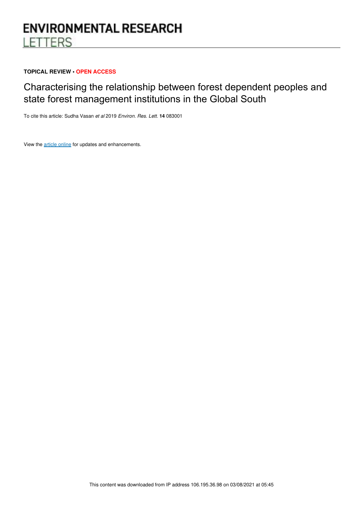# **ENVIRONMENTAL RESEARCH LETTERS**

# **TOPICAL REVIEW • OPEN ACCESS**

# Characterising the relationship between forest dependent peoples and state forest management institutions in the Global South

To cite this article: Sudha Vasan et al 2019 Environ. Res. Lett. **14** 083001

View the **article online** for updates and enhancements.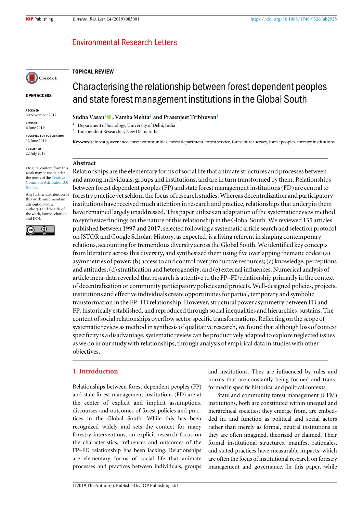TOPICAL REVIEW

# **Environmental Research Letters**

# CrossMark

OPEN ACCESS

RECEIVED 30 November 2017

REVISED 6 June 2019

ACCEPTED FOR PUBLICATION 12 June 2019

PUBLISHED 22 July 2019

Original content from this work may be used under the terms of the Creative Commons Attribution 3.0 licence.

Any further distribution of this work must maintain attribution to the author(s) and the title of the work, journal citation and DOI.



Characterising the relationship between forest dependent peoples and state forest management institutions in the Global South

Sudha Vasan $^1\mathbf{O}$  , Varsha Mehta $^2$  and Prasenjeet Tribhuvan $^1$ 

<sup>1</sup> Department of Sociology, University of Delhi, India

<sup>2</sup> Independent Researcher, New Delhi, India

Keywords: forest governance, forest communities, forest department, forest service, forest bureaucracy, forest peoples, forestry institutions

## Abstract

Relationships are the elementary forms of social life that animate structures and processes between and among individuals, groups and institutions, and are in turn transformed by them. Relationships between forest dependent peoples(FP) and state forest management institutions(FD) are central to forestry practice yet seldom the focus of research studies. Whereas decentralization and participatory institutions have received much attention in research and practice, relationships that underpin them have remained largely unaddressed. This paper utilizes an adaptation of the systematic review method to synthesize findings on the nature of this relationship in the Global South. We reviewed 135 articles published between 1997 and 2017, selected following a systematic article search and selection protocol on JSTOR and Google Scholar. History, as expected, is a living referent in shaping contemporary relations, accounting for tremendous diversity across the Global South. We identified key concepts from literature across this diversity, and synthesized them using five overlapping thematic codes: (a) asymmetries of power; (b) access to and control over productive resources; (c) knowledge, perceptions and attitudes; (d) stratification and heterogeneity; and (e) external influences. Numerical analysis of article meta-data revealed that research is attentive to the FP–FD relationship primarily in the context of decentralization or community participatory policies and projects. Well-designed policies, projects, institutions and effective individuals create opportunities for partial, temporary and symbolic transformation in the FP–FD relationship. However, structural power asymmetry between FD and FP, historically established, and reproduced through social inequalities and hierarchies, sustains. The content of social relationships overflow sector specific transformations. Reflecting on the scope of systematic review as method in synthesis of qualitative research, we found that although loss of context specificity is a disadvantage, systematic review can be productively adapted to explore neglected issues as we do in our study with relationships, through analysis of empirical data in studies with other objectives.

# 1. Introduction

Relationships between forest dependent peoples (FP) and state forest management institutions (FD) are at the center of explicit and implicit assumptions, discourses and outcomes of forest policies and practices in the Global South. While this has been recognized widely and sets the context for many forestry interventions, an explicit research focus on the characteristics, influences and outcomes of the FP–FD relationship has been lacking. Relationships are elementary forms of social life that animate processes and practices between individuals, groups and institutions. They are influenced by rules and norms that are constantly being formed and transformed in specific historical and political contexts.

State and community forest management (CFM) institutions, both are constituted within unequal and hierarchical societies; they emerge from, are embedded in, and function as political and social actors rather than merely as formal, neutral institutions as they are often imagined, theorized or claimed. Their formal institutional structures, manifest rationales, and stated practices have measurable impacts, which are often the focus of institutional research on forestry management and governance. In this paper, while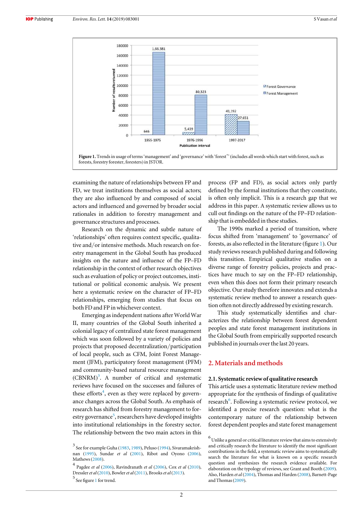

examining the nature of relationships between FP and FD, we treat institutions themselves as social actors; they are also influenced by and composed of social actors and influenced and governed by broader social rationales in addition to forestry management and governance structures and processes.

Research on the dynamic and subtle nature of 'relationships' often requires context specific, qualitative and/or intensive methods. Much research on forestry management in the Global South has produced insights on the nature and influence of the FP–FD relationship in the context of other research objectives such as evaluation of policy or project outcomes, institutional or political economic analysis. We present here a systematic review on the character of FP–FD relationships, emerging from studies that focus on both FD and FP in whichever context.

Emerging as independent nations after World War II, many countries of the Global South inherited a colonial legacy of centralized state forest management which was soon followed by a variety of policies and projects that proposed decentralization/participation of local people, such as CFM, Joint Forest Management (JFM), participatory forest management (PFM) and community-based natural resource management (CBNRM) 3 . A number of critical and systematic reviews have focused on the successes and failures of these efforts<sup>4</sup>, even as they were replaced by governance changes across the Global South. As emphasis of research has shifted from forestry management to forestry governance<sup>5</sup>, researchers have developed insights into institutional relationships in the forestry sector. The relationship between the two main actors in this

process (FP and FD), as social actors only partly defined by the formal institutions that they constitute, is often only implicit. This is a research gap that we address in this paper. A systematic review allows us to cull out findings on the nature of the FP–FD relationship that is embedded in these studies.

The 1990s marked a period of transition, where focus shifted from 'management' to 'governance' of forests, as also reflected in the literature (figure 1). Our study reviews research published during and following this transition. Empirical qualitative studies on a diverse range of forestry policies, projects and practices have much to say on the FP–FD relationship, even when this does not form their primary research objective. Our study therefore innovates and extends a systematic review method to answer a research question often not directly addressed by existing research.

This study systematically identifies and characterizes the relationship between forest dependent peoples and state forest management institutions in the Global South from empirically supported research published in journals over the last 20 years.

## 2. Materials and methods

#### 2.1. Systematic review of qualitative research

This article uses a systematic literature review method appropriate for the synthesis of findings of qualitative research<sup>6</sup>. Following a systematic review protocol, we identified a precise research question: what is the contemporary nature of the relationship between forest dependent peoples and state forest management

<sup>3</sup> See for example Guha (1983, 1989), Peluso (1994), Sivaramakrishnan (1995), Sundar *et al* (2001), Ribot and Oyono (2006), Mathews(2008).

<sup>4</sup> Pagdee *et al* (2006), Ravindranath *et al* (2006), Cox *et al* (2010), Dressler*et al*(2010), Bowler*et al*(2011), Brooks*et al*(2013). 5 See figure 1 for trend.

 $^6$  Unlike a general or critical literature review that aims to extensively and critically research the literature to identify the most significant contributions in the field, a systematic review aims to systematically search the literature for what is known on a specific research question and synthesizes the research evidence available. For elaboration on the typology of reviews, see Grant and Booth (2009). Also, Harden *et al* (2004), Thomas and Harden (2008), Barnett-Page and Thomas(2009).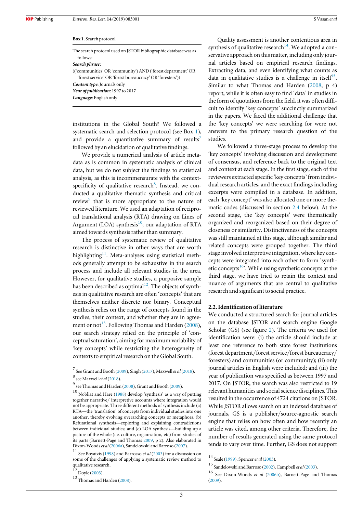|  |  | Box 1. Search protocol. |
|--|--|-------------------------|
|--|--|-------------------------|

| The search protocol used on JSTOR bibliographic database was as<br>follows: |
|-----------------------------------------------------------------------------|
| Search phrase:                                                              |
| (('communities' OR 'community') AND ('forest department' OR                 |
| 'forest service' OR 'forest bureaucracy' OR 'foresters'))                   |
| Content type: Journals only                                                 |
| Year of publication: 1997 to 2017                                           |
| Language: English only                                                      |
|                                                                             |

institutions in the Global South? We followed a systematic search and selection protocol (see Box 1), and provide a quantitative summary of results<sup>7</sup> followed by an elucidation of qualitative findings.

We provide a numerical analysis of article metadata as is common in systematic analysis of clinical data, but we do not subject the findings to statistical analysis, as this is incommensurate with the contextspecificity of qualitative research<sup>8</sup>. Instead, we conducted a qualitative thematic synthesis and critical review<sup>9</sup> that is more appropriate to the nature of reviewed literature. We used an adaptation of reciprocal translational analysis (RTA) drawing on Lines of Argument (LOA) synthesis<sup>10</sup>; our adaptation of RTA aimed towards synthesis rather than summary.

The process of systematic review of qualitative research is distinctive in other ways that are worth highlighting $11$ . Meta-analyses using statistical methods generally attempt to be exhaustive in the search process and include all relevant studies in the area. However, for qualitative studies, a purposive sample has been described as optimal<sup>12</sup>. The objects of synthesis in qualitative research are often 'concepts' that are themselves neither discrete nor binary. Conceptual synthesis relies on the range of concepts found in the studies, their context, and whether they are in agreement or not<sup>13</sup>. Following Thomas and Harden (2008), our search strategy relied on the principle of 'conceptual saturation', aiming for maximum variability of 'key concepts' while restricting the heterogeneity of contexts to empirical research on the Global South.

 $12$  Doyle (2003).

Quality assessment is another contentious area in synthesis of qualitative research $14$ . We adopted a conservative approach on this matter, including only journal articles based on empirical research findings. Extracting data, and even identifying what counts as data in qualitative studies is a challenge in itself<sup>15</sup>. Similar to what Thomas and Harden  $(2008, p4)$ report, while it is often easy to find 'data' in studies in the form of quotations from the field, it was often difficult to identify 'key concepts' succinctly summarized in the papers. We faced the additional challenge that the 'key concepts' we were searching for were not answers to the primary research question of the studies.

We followed a three-stage process to develop the 'key concepts' involving discussion and development of consensus, and reference back to the original text and context at each stage. In the first stage, each of the reviewers extracted specific 'key concepts' from individual research articles, and the exact findings including excerpts were compiled in a database. In addition, each 'key concept' was also allocated one or more thematic codes (discussed in section 2.4 below). At the second stage, the 'key concepts' were thematically organized and reorganized based on their degree of closeness or similarity. Distinctiveness of the concepts was still maintained at this stage, although similar and related concepts were grouped together. The third stage involved interpretive integration, where key concepts were integrated into each other to form 'synthetic concepts<sup>16</sup>. While using synthetic concepts at the third stage, we have tried to retain the context and nuance of arguments that are central to qualitative research and significant to social practice.

#### 2.2. Identification of literature

We conducted a structured search for journal articles on the database JSTOR and search engine Google Scholar (GS) (see figure 2). The criteria we used for identification were: (i) the article should include at least one reference to both state forest institutions (forest department/forest service/forest bureaucracy/ foresters) and communities (or community); (ii) only journal articles in English were included; and (iii) the year of publication was specified as between 1997 and 2017. On JSTOR, the search was also restricted to 19 relevant humanities and social science disciplines. This resulted in the occurrence of 4724 citations on JSTOR. While JSTOR allows search on an indexed database of journals, GS is a publisher/source-agnostic search engine that relies on how often and how recently an article was cited, among other criteria. Therefore, the number of results generated using the same protocol tends to vary over time. Further, GS does not support

<sup>7</sup> See Grant and Booth (2009), Singh (2017), Maxwell*et al* (2018). 8 see Maxwell*et al*(2018).

 $^9$  see Thomas and Harden (2008), Grant and Booth (2009).

<sup>10</sup> Nobliat and Hare (1988) develop 'synthesis' as a way of putting together narrative/ interpretive accounts where integration would not be appropriate. Three different methods of synthesis include (a) RTA—the 'translation' of concepts from individual studies into one another, thereby evolving overarching concepts or metaphors, (b) Refutational synthesis—exploring and explaining contradictions between individual studies; and (c) LOA synthesis—building up a picture of the whole (i.e. culture, organization, etc) from studies of its parts (Barnett-Page and Thomas 2009, p 2). Also elaborated in Dixon-Woods*et al* (2006a), Sandelowski and Barroso (2007).

 $^{11}$  See Boyatzis (1998) and Barrosso  $et\ al$  (2003) for a discussion on some of the challenges of applying a systematic review method to qualitative research.

 $^{13}$  Thomas and Harden (2008).

<sup>14</sup> Seale (1999), Spencer*et al*(2003).

<sup>15</sup> Sandelowski and Barroso (2002), Campbell*et al*(2003).

<sup>16</sup> See Dixon-Woods *et al* (2006b), Barnett-Page and Thomas (2009).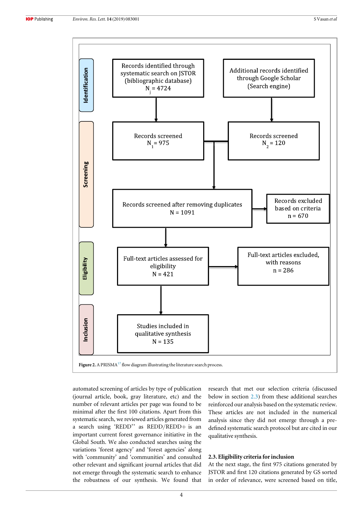

automated screening of articles by type of publication (journal article, book, gray literature, etc) and the number of relevant articles per page was found to be minimal after the first 100 citations. Apart from this systematic search, we reviewed articles generated from a search using 'REDD<sup>\*</sup>' as REDD/REDD+ is an important current forest governance initiative in the Global South. We also conducted searches using the variations 'forest agency' and 'forest agencies' along with 'community' and 'communities' and consulted other relevant and significant journal articles that did not emerge through the systematic search to enhance the robustness of our synthesis. We found that

research that met our selection criteria (discussed below in section 2.3) from these additional searches reinforced our analysis based on the systematic review. These articles are not included in the numerical analysis since they did not emerge through a predefined systematic search protocol but are cited in our qualitative synthesis.

### 2.3. Eligibility criteria for inclusion

At the next stage, the first 975 citations generated by JSTOR and first 120 citations generated by GS sorted in order of relevance, were screened based on title,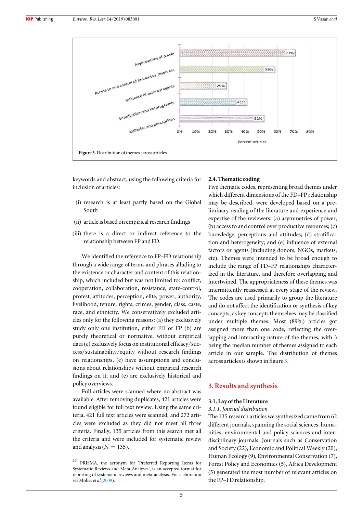

keywords and abstract, using the following criteria for inclusion of articles:

- (i) research is at least partly based on the Global South
- (ii) article is based on empirical research findings
- (iii) there is a direct or indirect reference to the relationship between FP and FD.

We identified the reference to FP–FD relationship through a wide range of terms and phrases alluding to the existence or character and content of this relationship, which included but was not limited to: conflict, cooperation, collaboration, resistance, state-control, protest, attitudes, perception, elite, power, authority, livelihood, tenure, rights, crimes, gender, class, caste, race, and ethnicity. We conservatively excluded articles only for the following reasons: (a) they exclusively study only one institution, either FD or FP (b) are purely theoretical or normative, without empirical data (c) exclusively focus on institutional efficacy/success/sustainability/equity without research findings on relationships, (e) have assumptions and conclusions about relationships without empirical research findings on it, and (e) are exclusively historical and policy overviews.

Full articles were scanned where no abstract was available. After removing duplicates, 421 articles were found eligible for full text review. Using the same criteria, 421 full text articles were scanned, and 272 articles were excluded as they did not meet all three criteria. Finally, 135 articles from this search met all the criteria and were included for systematic review and analysis ( $N = 135$ ).

#### 2.4. Thematic coding

Five thematic codes, representing broad themes under which different dimensions of the FD–FP relationship may be described, were developed based on a preliminary reading of the literature and experience and expertise of the reviewers: (a) asymmetries of power; (b) access to and control over productive resources; (c) knowledge, perceptions and attitudes; (d) stratification and heterogeneity; and (e) influence of external factors or agents (including donors, NGOs, markets, etc). Themes were intended to be broad enough to include the range of FD–FP relationships characterized in the literature, and therefore overlapping and intertwined. The appropriateness of these themes was intermittently reassessed at every stage of the review. The codes are used primarily to group the literature and do not affect the identification or synthesis of key concepts, as key concepts themselves may be classified under multiple themes. Most (89%) articles got assigned more than one code, reflecting the overlapping and interacting nature of the themes, with 3 being the median number of themes assigned to each article in our sample. The distribution of themes across articles is shown in figure 3.

#### 3. Results and synthesis

#### 3.1. Lay of the Literature

#### *3.1.1. Journal distribution*

The 135 research articles we synthesized came from 62 different journals, spanning the social sciences, humanities, environmental and policy sciences and interdisciplinary journals. Journals such as Conservation and Society (22), Economic and Political Weekly (20), Human Ecology (9), Environmental Conservation (7), Forest Policy and Economics (5), Africa Development (5) generated the most number of relevant articles on the FP–FD relationship.

<sup>17</sup> PRISMA, the acronym for 'Preferred Reporting Items for Systematic Reviews and Meta-Analyses', is an accepted format for reporting of systematic reviews and meta-analysis. For elaboration see Moher*et al*(2009).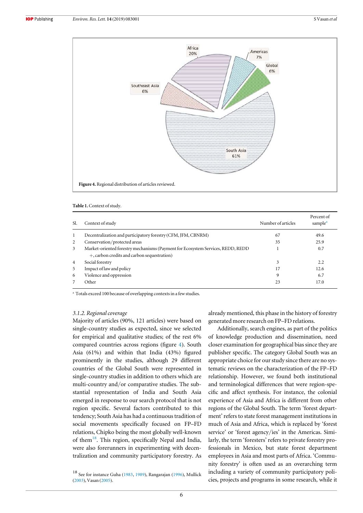

#### Table 1. Context of study.

| Sl.            | Context of study                                                                                                                   | Number of articles | Percent of<br>sample <sup>a</sup> |
|----------------|------------------------------------------------------------------------------------------------------------------------------------|--------------------|-----------------------------------|
| 1              | Decentralization and participatory forestry (CFM, JFM, CBNRM)                                                                      | 67                 | 49.6                              |
| 2              | Conservation/protected areas                                                                                                       | 35                 | 25.9                              |
| 3              | Market-oriented forestry mechanisms (Payment for Ecosystem Services, REDD, REDD)<br>$+$ , carbon credits and carbon sequestration) |                    | 0.7                               |
| $\overline{4}$ | Social forestry                                                                                                                    | 3                  | 2.2                               |
| 5              | Impact of law and policy                                                                                                           | 17                 | 12.6                              |
| 6              | Violence and oppression                                                                                                            | 9                  | 6.7                               |
|                | Other                                                                                                                              | 23                 | 17.0                              |

<sup>a</sup> Totals exceed 100 because of overlapping contexts in a few studies.

#### *3.1.2. Regional coverage*

Majority of articles (90%, 121 articles) were based on single-country studies as expected, since we selected for empirical and qualitative studies; of the rest 6% compared countries across regions (figure 4). South Asia (61%) and within that India (43%) figured prominently in the studies, although 29 different countries of the Global South were represented in single-country studies in addition to others which are multi-country and/or comparative studies. The substantial representation of India and South Asia emerged in response to our search protocol that is not region specific. Several factors contributed to this tendency; South Asia has had a continuous tradition of social movements specifically focused on FP–FD relations, Chipko being the most globally well-known of them<sup>18</sup>. This region, specifically Nepal and India, were also forerunners in experimenting with decentralization and community participatory forestry. As

<sup>18</sup> See for instance Guha (1983, <sup>1989</sup>), Rangarajan (1996), Mullick (2003), Vasan (2005).

already mentioned, this phase in the history of forestry generated more research on FP–FD relations.

Additionally, search engines, as part of the politics of knowledge production and dissemination, need closer examination for geographical bias since they are publisher specific. The category Global South was an appropriate choice for our study since there are no systematic reviews on the characterization of the FP–FD relationship. However, we found both institutional and terminological differences that were region-specific and affect synthesis. For instance, the colonial experience of Asia and Africa is different from other regions of the Global South. The term 'forest department' refers to state forest management institutions in much of Asia and Africa, which is replaced by 'forest service' or 'forest agency/ies' in the Americas. Similarly, the term 'foresters' refers to private forestry professionals in Mexico, but state forest department employees in Asia and most parts of Africa. 'Community forestry' is often used as an overarching term including a variety of community participatory policies, projects and programs in some research, while it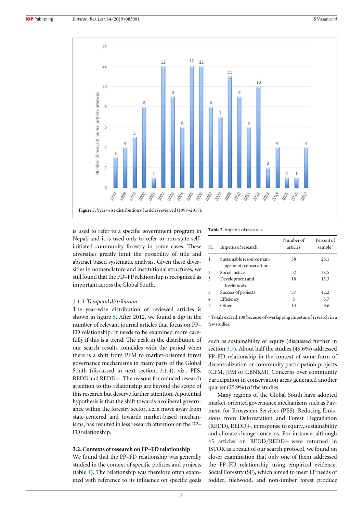

is used to refer to a specific government program in Nepal, and it is used only to refer to non-state selfinitiated community forestry in some cases. These diversities greatly limit the possibility of title and abstract based systematic analysis. Given these diversities in nomenclature and institutional structures, we still found that the FD–FP relationship is recognized as important across the Global South.

#### *3.1.3. Temporal distribution*

The year-wise distribution of reviewed articles is shown in figure 5. After 2012, we found a dip in the number of relevant journal articles that focus on FP– FD relationship. It needs to be examined more carefully if this is a trend. The peak in the distribution of our search results coincides with the period when there is a shift from PFM to market-oriented forest governance mechanisms in many parts of the Global South (discussed in next section, 3.1.4), viz., PES, REDD and REDD+. The reasons for reduced research attention to this relationship are beyond the scope of this research but deserve further attention. A potential hypothesis is that the shift towards neoliberal governance within the forestry sector, i.e. a move away from state-centered and towards market-based mechanisms, has resulted in less research attention on the FP– FD relationship.

#### 3.2. Contexts of research on FP–FD relationship

We found that the FP–FD relationship was generally studied in the context of specific policies and projects (table 1). The relationship was therefore often examined with reference to its influence on specific goals

| Sl. | Impetus of research                               | Number of<br>articles | Percent of<br>sample <sup>a</sup> |
|-----|---------------------------------------------------|-----------------------|-----------------------------------|
|     | Sustainable resource man-<br>agement/conservation | 38                    | 28.1                              |
| 2   | Social justice                                    | 52                    | 38.5                              |
| 3   | Development and<br>livelihoods                    | 18                    | 13.3                              |
| 3   | Success of projects                               | 57                    | 42.2                              |
| 4   | Efficiency                                        | 5                     | 3.7                               |
| 5   | Other                                             | 13                    | 9.6                               |

<sup>a</sup> Totals exceed 100 because of overlapping impetus of research in a few studies.

such as sustainability or equity (discussed further in section 3.3). About half the studies (49.6%) addressed FP–FD relationship in the context of some form of decentralization or community participation projects (CFM, JFM or CBNRM). Concerns over community participation in conservation areas generated another quarter(25.9%) of the studies.

Many regions of the Global South have adopted market-oriented governance mechanisms such as Payment for Ecosystem Services (PES), Reducing Emissions from Deforestation and Forest Degradation (REDD), REDD+, in response to equity, sustainability and climate change concerns. For instance, although 45 articles on REDD/REDD+ were returned in JSTOR as a result of our search protocol, we found on closer examination that only one of them addressed the FP–FD relationship using empirical evidence. Social Forestry (SF), which aimed to meet FP needs of fodder, fuelwood, and non-timber forest produce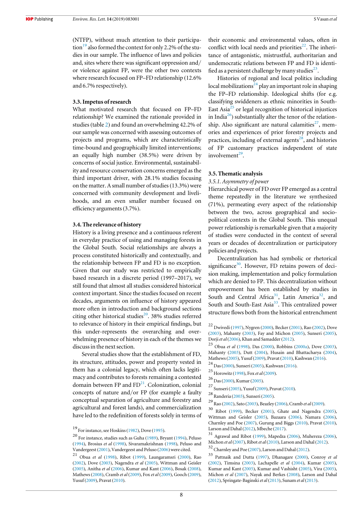(NTFP), without much attention to their participation<sup>19</sup> also formed the context for only 2.2% of the studies in our sample. The influence of laws and policies and, sites where there was significant oppression and/ or violence against FP, were the other two contexts where research focused on FP–FD relationship (12.6% and 6.7% respectively).

#### 3.3. Impetus of research

What motivated research that focused on FP–FD relationship? We examined the rationale provided in studies (table 2) and found an overwhelming 42.2% of our sample was concerned with assessing outcomes of projects and programs, which are characteristically time-bound and geographically limited interventions; an equally high number (38.5%) were driven by concerns of social justice. Environmental, sustainability and resource conservation concerns emerged as the third important driver, with 28.1% studies focusing on the matter. A small number of studies  $(13.3\%)$  were concerned with community development and livelihoods, and an even smaller number focused on efficiency arguments(3.7%).

#### 3.4. The relevance of history

History is a living presence and a continuous referent in everyday practice of using and managing forests in the Global South. Social relationships are always a process constituted historically and contextually, and the relationship between FP and FD is no exception. Given that our study was restricted to empirically based research in a discrete period (1997–2017), we still found that almost all studies considered historical context important. Since the studies focused on recent decades, arguments on influence of history appeared more often in introduction and background sections citing other historical studies<sup>20</sup>. 38% studies referred to relevance of history in their empirical findings, but this under-represents the overarching and overwhelming presence of history in each of the themes we discuss in the next section.

Several studies show that the establishment of FD, its structure, attitudes, power and property vested in them has a colonial legacy, which often lacks legitimacy and contributes to forests remaining a contested domain between FP and  $FD^{21}$ . Colonization, colonial concepts of nature and/or FP (for example a faulty conceptual separation of agriculture and forestry and agricultural and forest lands), and commercialization have led to the redefinition of forests solely in terms of their economic and environmental values, often in conflict with local needs and priorities $^{22}$ . The inheritance of antagonistic, mistrustful, authoritarian and undemocratic relations between FP and FD is identified as a persistent challenge by many studies<sup>23</sup>.

Histories of regional and local politics including local mobilizations<sup>24</sup> play an important role in shaping the FP–FD relationship. Ideological shifts (for e.g. classifying swiddeners as ethnic minorities in South-East Asi $a^{25}$  or legal recognition of historical injustices in India<sup>26</sup>) substantially alter the tenor of the relationship. Also significant are natural calamities<sup>27</sup>, memories and experiences of prior forestry projects and practices, including of external agents $28$ , and histories of FP customary practices independent of state involvement<sup>29</sup>.

#### 3.5. Thematic analysis

#### *3.5.1. Asymmetry of power*

Hierarchical power of FD over FP emerged as a central theme repeatedly in the literature we synthesized (71%), permeating every aspect of the relationship between the two, across geographical and sociopolitical contexts in the Global South. This unequal power relationship is remarkable given that a majority of studies were conducted in the context of several years or decades of decentralization or participatory policies and projects.

Decentralization has had symbolic or rhetorical significance $30$ . However, FD retains powers of decision making, implementation and policy formulation which are denied to FP. This decentralization without empowerment has been established by studies in South and Central Africa<sup>31</sup>, Latin America<sup>32</sup>, and South and South-East Asia<sup>33</sup>. This centralized power structure flows both from the historical entrenchment

- <sup>25</sup> Horowitz (1998), Fox *et al* (2009).
- <sup>26</sup> Das(2000), Kumar(2005).

<sup>19</sup> For instance, see Hoskins(1982), Dove (1995).

 $^{20}$  For instance, studies such as Guha (1989), Bryant (1994), Peluso (1994), Brosius *et al* (1998), Sivaramakrishnan (1998), Peluso and Vandergeest (2001), Vandergeest and Peluso (2006) were cited.

<sup>21</sup> Obua *et al* (1998), Ribot (1999), Laungaramsri (2000), Rao (2002), Dove (2003), Nagendra *et al* (2005), Wittman and Geisler (2005), Anitha *et al* (2006), Kumar and Kant (2006), Bosak (2008), Mathews (2008), Cramb *et al* (2009), Fox *et al* (2009), Gooch (2009), Yusuf (2009), Pravat (2010).

<sup>22</sup> Dwivedi (1997), Nygren (2000), Becker (2001), Rao (2002), Dove (2003), Mahanty (2003), Fay and Michon (2005), Sunseri (2005), Dorji et al (2006), Khan and Samadder (2012).

<sup>23</sup> Obua *et al* (1998), Das (2000), Robbins (2000a), Dove (2003), Mahanty (2003), Dutt (2004), Husain and Bhattacharya (2004), Mathews(2005), Yusuf (2009), Pravat (2010), Kashwan (2016).

<sup>24</sup> Das(2000), Sunseri(2005), Kashwan (2016).

<sup>27</sup> Sunseri(2005), Yusuf (2009), Pravat (2010).

 $^{28}$ Randeria (2003), Sunseri (2005).

<sup>29</sup>Rao (2002), Sato (2003), Beazley (2006), Cramb *et al*(2009).

<sup>30</sup> Ribot (1999), Becker (2001), Ghate and Nagendra (2005), Wittman and Geisler (2005), Bazaara (2006), Namara (2006), Charnley and Poe (2007), Gurung and Biggs (2010), Pravat (2010), Larson and Dahal (2012), Mbeche (2017).

 $^{31}$  Agrawal and Ribot (1999), Mapedza (2006), Muhereza (2006), Michon *et al* (2007), Ribot *et al* (2010), Larson and Dahal (2012).

 $\rm{^{32}}$  Charnley and Poe (2007), Larson and Dahal (2012).

<sup>33</sup> Pattnaik and Dutta (1997), Dhanagare (2000), Conroy *et al* (2002), Timsina (2003), Lachapelle *et al* (2004), Kumar (2005), Kumar and Kant (2005), Kumar and Vashisht (2005), Vira (2005), Michon *et al* (2007), Nayak and Berkes (2008), Larson and Dahal (2012), Springate-Baginski*et al*(2013), Sunam *et al*(2013).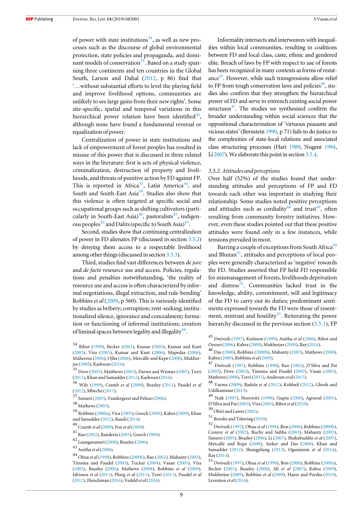of power with state institutions<sup>34</sup>, as well as new processes such as the discourse of global environmental protection, state policies and propaganda, and dominant models of conservation<sup>35</sup>. Based on a study spanning three continents and ten countries in the Global South, Larson and Dahal (2012, p 86) find that '...without substantial efforts to level the playing field and improve livelihood options, communities are unlikely to see large gains from their new rights'. Some site-specific, spatial and temporal variations in this hierarchical power relation have been identified<sup>36</sup>, although none have found a fundamental reversal or equalization of power.

Centralization of power in state institutions and lack of empowerment of forest peoples has resulted in misuse of this power that is discussed in three related ways in the literature: first is acts of physical violence, criminalization, destruction of property and livelihoods, and threats of punitive action by FD against FP. This is reported in Africa<sup>37</sup>, Latin America<sup>38</sup>, and South and South-East Asia<sup>39</sup>. Studies also show that this violence is often targeted at specific social and occupational groups such as shifting cultivators(particularly in South-East Asia)<sup>40</sup>, pastoralists<sup>41</sup>, indigenous peoples<sup>42</sup> and Dalits (specific to South Asia)<sup>43</sup>.

Second, studies show that continuing centralization of power in FD alienates FP (discussed in section 3.5.2) by denying them access to a respectable livelihood among other things(discussed in section 3.5.3).

Third, studies find vast differences between *de jure* and *de facto* resource use and access. Policies, regulations and penalties notwithstanding, 'the reality of resource use and access is often characterized by informal negotiations, illegal extraction, and rule-bending' Robbins *et al* (2009, p 560). This is variously identified by studies as bribery; corruption; rent-seeking; institutionalized silence, ignorance and concealment; formation or functioning of informal institutions; creation of liminal spaces between legality and illegality<sup>44</sup>.

 $^{38}$  Mathews (2005).

<sup>39</sup> Robbins (2000a), Vira (2005), Gooch (2009), Kabra (2009), Khan and Samadder(2012), Bandi (2014).

 $^{41}$  Rao (2002), Randeria (2003), Gooch (2009).

<sup>44</sup> Obua *et al* (1998), Robbins (2000b), Rao (2002), Mahanty (2003), Timsina and Paudel (2003), Tucker (2004), Vasan (2005), Vira (2005), Beazley (2006), Mathews (2008), Robbins *et al* (2009), Idrissou *et al* (2011), Ploeg *et al* (2011), Torri (2011), Paudel *et al* (2012), Fleischman (2016), Vedeld *et al*(2016).

Informality intersects and interweaves with inequalities within local communities, resulting in coalitions between FD and local class, caste, ethnic and gendered elite. Breach of laws by FP with respect to use of forests has been recognized in many contexts as forms of resistance45. However, while such transgressions allow relief to FP from tough conservation laws and policies $46$ , studies also confirm that they strengthen the hierarchical power of FD and serve to entrench existing social power structures $47$ . The studies we synthesized confirm the broader understanding within social sciences that the oppositional characterization of 'virtuous peasants and vicious states' (Bernstein 1990, p 71) fails to do justice to the complexities of state-local relations and associated class structuring processes (Hart 1989, Nugent 1994, Li 2007).We elaborate this point in section 3.5.4.

#### *3.5.2. Attitudes and perceptions*

Over half (52%) of the studies found that understanding attitudes and perceptions of FP and FD towards each other was important in studying their relationship. Some studies noted positive perceptions and attitudes such as cordiality<sup>48</sup> and trust<sup>49</sup>, often resulting from community forestry initiatives. However, even these studies pointed out that these positive attitudes were found only in a few instances, while tensions prevailed in most.

Barring a couple of exceptions from South Africa<sup>50</sup> and Bhutan $^{51}$ , attitudes and perceptions of local peoples were generally characterized as 'negative' towards the FD. Studies asserted that FP held FD responsible for mismanagement of forests, livelihoods deprivation and distress $52$ . Communities lacked trust in the knowledge, ability, commitment, will and legitimacy of the FD to carry out its duties; predominant sentiments expressed towards the FD were those of resentment, mistrust and hostility<sup>53</sup>. Reiterating the power hierarchy discussed in the previous section (3.5.1), FP

<sup>48</sup> Varma (2009), Badola *et al* (2012), Kobbail (2012), Ghosh and Uddhammar(2013).

<sup>49</sup> Naik (1997), Horowitz (1998), Gupta (2000), Agrawal (2001), D'Silva and Pai(2003), Vira (2005), Ribot*et al*(2010).

<sup>50</sup> Obiri and Lawes(2002).

 $\ensuremath{^{51}}$  Brooks and Tshering (2010).

<sup>34</sup> Ribot (1999), Becker (2001), Kumar (2005), Kumar and Kant (2005), Vira (2005), Kumar and Kant (2006), Mapedza (2006), Muhereza (2006), Ojha (2006), Metcalfe and Kepe (2008), Mukherjee (2009), Kashwan (2016).

 $^{35}$  Dove (2003), Matthews (2005), Davies and Wismer (2007), Torri (2011), Khan and Samadder(2012), Kashwan (2016).

<sup>36</sup> Wily (1999), Cramb *et al* (2009), Beazley (2011), Paudel *et al* (2012), Mbeche (2017).

 $^{37}$  Sunseri (2005), Vandergeest and Peluso (2006).

<sup>40</sup>Cramb *et al*(2009), Fox *et al*(2009).

<sup>42</sup> Laungaramsri (2000), Beazley (2006).

<sup>43</sup>Anitha *et al*(2006).

<sup>45</sup> Dwivedi (1997), Karlsson (1999), Anitha *et al* (2006), Ribot and Oyono (2006), Kabra (2009), Mukherjee (2009), Ray (2014).

<sup>46</sup> Das (2000), Robbins (2000b), Mahanty (2003), Mathews (2008), Kabra (2009), Robbins*et al*(2009).

<sup>47</sup> Dwivedi (1997), Robbins (1998), Rao (2002), D'Silva and Pai (2003), Dove (2003), Timsina and Paudel (2003), Vasan (2005), Mathews(2008), Torri(2011), Andersen *et al*(2015).

<sup>52</sup> Dwivedi (1997), Obua *et al* (1998), Bon (2000), Robbins (2000b), Conroy *et al* (2002), Buchy and Subba (2003), Mahanty (2003), Sunseri (2005), Beazley (2006), Li (2007), Shahabuddin *et al* (2007), Metcalfe and Kepe (2008), Sarker and Das (2008), Khan and Samadder (2012), Shangpliang (2012), Ogunjinmi *et al* (2014), Ray (2014).

<sup>53</sup> Dwivedi (1997), Obua *et al* (1998), Bon (2000), Robbins (2000a), Becker (2001), Beazley (2006), Ali *et al* (2007), Kabra (2009), Mukherjee (2009), Robbins *et al* (2009), Hayes and Persha (2010), Leventon *et al* (2014).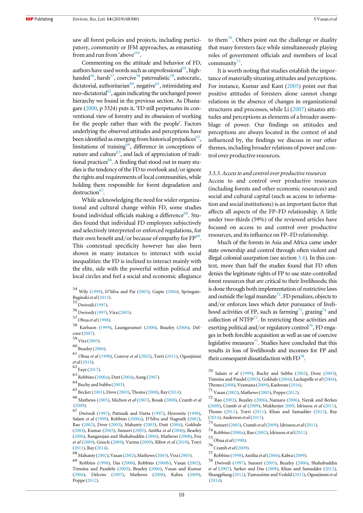saw all forest policies and projects, including participatory, community or JFM approaches, as emanating from and run from 'above'<sup>54</sup>.

Commenting on the attitude and behavior of FD, authors have used words such as unprofessional $55$ , highhanded<sup>56</sup>, harsh<sup>57</sup>, coercive<sup>58</sup> paternalistic<sup>59</sup>, autocratic, dictatorial, authoritarian<sup>60</sup>, negative<sup>61</sup>, intimidating and neo-dictatorial<sup>62</sup>, again indicating the unchanged power hierarchy we found in the previous section. As Dhanagare (2000, p 3324) puts it, 'FD still perpetuates its conventional view of forestry and its obsession of working for the people rather than with the people'. Factors underlying the observed attitudes and perceptions have been identified as emerging from historical prejudices<sup>63</sup>, limitations of training<sup>64</sup>, difference in conceptions of nature and culture<sup>65</sup>, and lack of appreciation of traditional practices $^{66}$ . A finding that stood out in many studies is the tendency of the FD to overlook and/or ignore the rights and requirements of local communities, while holding them responsible for forest degradation and destruction<sup>67</sup>.

While acknowledging the need for wider organizational and cultural change within FD, some studies found individual officials making a difference $68$ . Studies found that individual FD employees subjectively and selectively interpreted or enforced regulations, for their own benefit and/or because of empathy for FP<sup>69</sup>. This contextual specificity however has also been shown in many instances to intersect with social inequalities: the FD is inclined to interact mainly with the elite, side with the powerful within political and local circles and feel a social and economic allegiance to them<sup>70</sup>. Others point out the challenge or duality that many foresters face while simultaneously playing roles of government officials and members of local community $7<sup>1</sup>$ .

It is worth noting that studies establish the importance of materially situating attitudes and perceptions. For instance, Kumar and Kant (2005) point out that positive attitudes of foresters alone cannot change relations in the absence of changes in organizational structures and processes, while Li (2007) situates attitudes and perceptions as elements of a broader assemblage of power. Our findings on attitudes and perceptions are always located in the context of and influenced by, the findings we discuss in our other themes, including broader relations of power and control over productive resources.

#### *3.5.3. Access to and control over productive resources*

Access to and control over productive resources (including forests and other economic resources) and social and cultural capital (such as access to information and social institutions) is an important factor that affects all aspects of the FP–FD relationship. A little under two-thirds (59%) of the reviewed articles have focused on access to and control over productive resources, and its influence on FP–FD relationship.

Much of the forests in Asia and Africa came under state ownership and control through often violent and illegal colonial usurpation (see section 3.4). In this context, more than half the studies found that FD often denies the legitimate rights of FP to use state-controlled forest resources that are critical to their livelihoods; this is done through both implementation of restrictive laws and outside the legal mandate<sup>72</sup>. FD penalizes, objects to and/or enforces laws which deter pursuance of livelihood activities of FP, such as farming<sup>73</sup>, grazing<sup>74</sup> and collection of NTFP $^{75}$ . In restricting these activities and exerting political and/or regulatory control<sup>76</sup>, FD engages in both forcible acquisition as well as use of coercive legislative measures $77$ . Studies have concluded that this results in loss of livelihoods and incomes for FP and their consequent dissatisfaction with FD<sup>78</sup>.

<sup>54</sup> Wily (1999), D'Silva and Pai (2003), Gupte (2004), Springate-Baginski*et al* (2013).

<sup>55</sup> Dwivedi (1997).

<sup>56</sup> Dwivedi (1997), Vira (2005).

<sup>57</sup> Obua *et al*(1998).

<sup>58</sup> Karlsson (1999), Laungaramsri (2000), Beazley (2006), Delcore (2007).

 $59$  Vira (2005).

<sup>60</sup> Beazley (2006).

<sup>61</sup> Obua *et al* (1998), Conroy *et al* (2002), Torri (2011), Ogunjinmi *et al*(2014).

<sup>62</sup> Faye (2017).

<sup>63</sup>Robbins(2000a), Dutt(2004), Aung (2007).

 $\rm^{64}$  Buchy and Subba (2003).

<sup>65</sup> Becker(2001), Dove (2003), Thoms(2008), Ray (2014).

<sup>66</sup> Mathews (2005), Michon *et al* (2007), Bosak (2008), Cramb *et al* (2009).

 $67$  Dwivedi (1997), Pattnaik and Dutta (1997), Horowitz (1998), Salam *et al* (1999), Robbins (2000a), D'Silva and Nagnath (2002), Rao (2002), Dove (2003), Mahanty (2003), Dutt (2004), Gokhale (2004), Kumar (2005), Sunseri (2005), Anitha *et al* (2006), Beazley (2006), Rangarajan and Shahabuddin (2006), Mathews (2008), Fox *et al* (2009), Gooch (2009), Varma (2009), Ribot *et al* (2010), Torri (2011), Ray (2014).

<sup>68</sup> Mahanty (2002), Vasan (2002), Mathews(2005), Vira (2005).

<sup>69</sup> Robbins (1998), Das (2000), Robbins (2000b), Vasan (2002), Timsina and Paudeln (2003), Beazley (2006), Vasan and Kumar (2006), Delcore (2007), Mathews (2008), Kabra (2009), Poppe (2012).

<sup>70</sup> Salam *et al* (1999), Buchy and Subba (2003), Dove (2003), Timsina and Paudel (2003), Gokhale (2004), Lachapelle *et al* (2004), Thoms(2008), Vyamana (2009), Kashwan (2016).

<sup>71</sup>Vasan (2002), Mathews(2005), Poppe (2012).

<sup>72</sup> Rao (2002), Beazley (2006), Namara (2006), Nayak and Berkes (2008), Cramb *et al* (2009), Mukherjee 2009, Idrissou *et al* (2011), Thoms (2011), Torri (2011), Khan and Samadder (2012), Ray (2014), Anderson *et al*(2015).

<sup>73</sup> Sunseri(2005), Cramb *et al*(2009), Idrissou *et al*(2011).

<sup>74</sup>Robbins(2000a), Rao (2002), Idrissou *et al*(2011).

<sup>75</sup> Obua *et al*(1998).

<sup>76</sup>Cramb *et al*(2009).

<sup>77</sup>Robbins(1998), Anitha *et al*(2006), Kabra (2009).

<sup>78</sup> Dwivedi (1997), Sunseri (2005), Beazley (2006), Shahabuddin *et al* (2007), Sarker and Das (2008), Khan and Samadder (2012), Shangpliang (2012), Tumusiime and Vedeld (2012), Ogunjinmi*et al* (2014).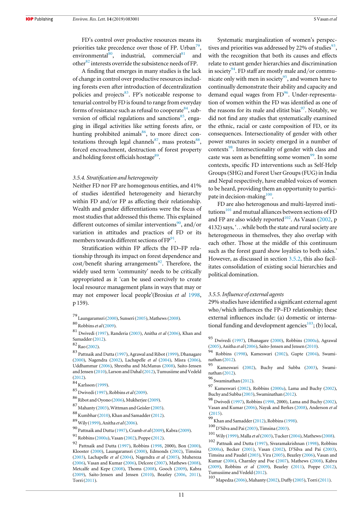FD's control over productive resources means its priorities take precedence over those of FP. Urban<sup>79</sup>, environmental $^{80}$ , industrial, commercial $^{81}$  and other<sup>82</sup> interests override the subsistence needs of FP.

A finding that emerges in many studies is the lack of change in control over productive resources including forests even after introduction of decentralization policies and projects<sup>83</sup>. FP's noticeable response to tenurial control by FD is found to range from everyday forms of resistance such as refusal to cooperate  $84$ , subversion of official regulations and sanctions<sup>85</sup>, engaging in illegal activities like setting forests afire, or hunting prohibited animals $^{86}$ , to more direct contestations through legal channels<sup>87</sup>, mass protests<sup>88</sup>, forced encroachment, destruction of forest property and holding forest officials hostage<sup>89</sup>.

#### *3.5.4. Strati*fi*cation and heterogeneity*

Neither FD nor FP are homogenous entities, and 41% of studies identified heterogeneity and hierarchy within FD and/or FP as affecting their relationship. Wealth and gender differentiations were the focus of most studies that addressed this theme. This explained different outcomes of similar interventions $90$ , and/or variation in attitudes and practices of FD or its members towards different sections of  $\text{FP}^{\text{91}}$ .

Stratification within FP affects the FD–FP relationship through its impact on forest dependence and  $cost/benefit sharing arrangements<sup>92</sup>. Therefore, the$ widely used term 'community' needs to be critically appropriated as it 'can be used coercively to create local resource management plans in ways that may or may not empower local people'(Brosius *et al* 1998, p 159).

Systematic marginalization of women's perspectives and priorities was addressed by 22% of studies<sup>93</sup>, with the recognition that both its causes and effects relate to extant gender hierarchies and discrimination in society $94$ . FD staff are mostly male and/or communicate only with men in society $95$ , and women have to continually demonstrate their ability and capacity and demand equal wages from  $FD^{96}$ . Under-representation of women within the FD was identified as one of the reasons for its male and elitist bias $97$ . Notably, we did not find any studies that systematically examined the ethnic, racial or caste composition of FD, or its consequences. Intersectionality of gender with other power structures in society emerged in a number of contexts<sup>98</sup>. Intersectionality of gender with class and caste was seen as benefitting some women<sup>99</sup>. In some contexts, specific FD interventions such as Self-Help Groups(SHG) and Forest User Groups (FUG) in India and Nepal respectively, have enabled voices of women to be heard, providing them an opportunity to participate in decision-making<sup>100</sup>.

FD are also heterogenous and multi-layered institutions $101$  and mutual alliances between sections of FD and FP are also widely reported<sup>102</sup>. As Vasan (2002, p 4132) says, '... while both the state and rural society are heterogeneous in themselves, they also overlap with each other. Those at the middle of this continuum such as the forest guard show loyalties to both sides.' However, as discussed in section 3.5.2, this also facilitates consolidation of existing social hierarchies and political domination.

#### *3.5.5. In*fl*uence of external agents*

29% studies have identified a significant external agent who/which influences the FP–FD relationship; these external influences include: (a) domestic or international funding and development agencies $103$ ; (b) local,

<sup>94</sup> Robbins (1998), Kameswari (2002), Gupte (2004), Swaminathan (2012).

<sup>95</sup> Kameswari (2002), Buchy and Subba (2003), Swaminathan (2012).

<sup>96</sup> Swaminathan (2012).

<sup>97</sup> Kameswari (2002), Robbins (2000a), Lama and Buchy (2002), Buchy and Subba (2003), Swaminathan (2012).

<sup>98</sup> Dwivedi (1997), Robbins (1998, 2000), Lama and Buchy (2002), Vasan and Kumar (2006), Nayak and Berkes (2008), Anderson *et al* (2015).

99 Khan and Samadder (2012), Robbins (1998).

<sup>100</sup> <sup>D</sup>'Silva and Pai (2003), Timsina (2003).

<sup>103</sup> Mapedza (2006), Mahanty (2002), Duffy (2005), Torri(2011).

<sup>79</sup> Laungaramsri (2000), Sunseri (2005), Mathews(2008).

<sup>80</sup>Robbins*et al*(2009).

<sup>81</sup> Dwivedi (1997), Randeria (2003), Anitha *et al* (2006), Khan and Samadder (2012).

 $82$  Rao (2002).

<sup>83</sup> Pattnaik and Dutta (1997), Agrawal and Ribot (1999), Dhanagare (2000), Nagendra (2002), Lachapelle *et al* (2004), Misra (2006), Uddhammar (2006), Shrestha and McManus (2008), Saito-Jensen and Jensen (2010), Larson and Dahal(2012), Tumusiime and Vedeld (2012).

<sup>84</sup> Karlsson (1999).

<sup>85</sup> Dwivedi (1997), Robbins*et al*(2009).

 $^{86}$  Ribot and Oyono (2006), Mukherjee (2009).

<sup>87</sup> Mahanty (2003), Wittman and Geisler(2005).

<sup>88</sup> Kumbhar (2010), Khan and Samadder (2012).

<sup>89</sup>Wily (1999), Anitha *et al*(2006).

<sup>90</sup> Pattnaik and Dutta (1997), Cramb *et al*(2009), Kabra (2009).

<sup>91</sup>Robbins(2000a), Vasan (2002), Poppe (2012).

<sup>92</sup> Pattnaik and Dutta (1997), Robbins (1998, 2000), Bon (2000), Klooster (2000), Laungaramsri (2000), Edmonds (2002), Timsina (2003), Lachapelle *et al* (2004), Nagendra *et al* (2005), Muhereza (2006), Vasan and Kumar (2006), Delcore (2007), Mathews (2008), Metcalfe and Kepe (2008), Thoms (2008), Gooch (2009), Kabra (2009), Saito-Jensen and Jensen (2010), Beazley (2006, 2011), Torri(2011).

<sup>93</sup> Dwivedi (1997), Dhanagare (2000), Robbins (2000a), Agrawal (2005), Anitha *et al*(2006), Saito-Jensen and Jensen (2010).

<sup>101</sup>Wily (1999), Malla *et al*(2003), Tucker(2004), Mathews(2008).

<sup>102</sup> Pattnaik and Dutta (1997), Sivaramakrishnan (1998), Robbins (2000a), Becker (2001), Vasan (2002), D'Silva and Pai (2003), Timsina and Paudel (2003), Vira (2005), Beazley (2006), Vasan and Kumar (2006), Charnley and Poe (2007), Mathews (2008), Kabra (2009), Robbins *et al* (2009), Beazley (2011), Poppe (2012), Tumusiime and Vedeld (2012).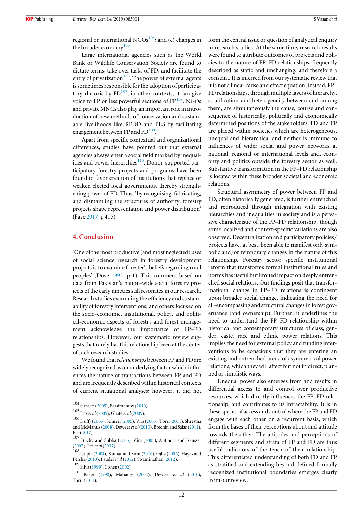regional or international NGOs<sup>104</sup>; and (c) changes in the broader economy $^{105}$ .

Large international agencies such as the World Bank or Wildlife Conservation Society are found to dictate terms, take over tasks of FD, and facilitate the entry of privatization<sup>106</sup>. The power of external agents is sometimes responsible for the adoption of participatory rhetoric by  $FD^{107}$ ; in other contexts, it can give voice to FP or less powerful sections of  $FP^{108}$ . NGOs and private MNCs also play an important role in introduction of new methods of conservation and sustainable livelihoods like REDD and PES by facilitating engagement between FP and  $\text{FD}^{\text{109}}$ .

Apart from specific contextual and organizational differences, studies have pointed out that external agencies always enter a social field marked by inequalities and power hierarchies<sup>110</sup>. Donor-supported participatory forestry projects and programs have been found to favor creation of institutions that replace or weaken elected local governments, thereby strengthening power of FD. Thus, 'by recognising, fabricating, and dismantling the structures of authority, forestry projects shape representation and power distribution' (Faye 2017, p 415).

## 4. Conclusion

'One of the most productive (and most neglected) uses of social science research in forestry development projects is to examine forester's beliefs regarding rural peoples' (Dove 1992, p 1). This comment based on data from Pakistan's nation-wide social forestry projects of the early nineties still resonates in our research. Research studies examining the efficiency and sustainability of forestry interventions, and others focused on the socio-economic, institutional, policy, and political-economic aspects of forestry and forest management acknowledge the importance of FP–FD relationships. However, our systematic review suggests that rarely has this relationship been at the center of such research studies.

We found that*relationships* between FP and FD are widely recognized as an underlying factor which influences the nature of transactions between FP and FD and are frequently described within historical contexts of current situational analyses; however, it did not

<sup>109</sup> Silva (1999), Cohen (2002).

<sup>110</sup> Baker (1998), Mahanty (2002), Dewees *et al* (2010), Torri(2011).

form the central issue or question of analytical enquiry in research studies. At the same time, research results were found to attribute outcomes of projects and policies to the nature of FP–FD relationships, frequently described as static and unchanging, and therefore a constant. It is inferred from our systematic review that it is not a linear cause and effect equation; instead, FP– FD relationships, through multiple layers of hierarchy, stratification and heterogeneity between and among them, are simultaneously the cause, course and consequence of historically, politically and economically determined positions of the stakeholders. FD and FP are placed within societies which are heterogeneous, unequal and hierarchical and neither is immune to influences of wider social and power networks at national, regional or international levels and, economy and politics outside the forestry sector as well. Substantive transformation in the FP–FD relationship is located within these broader societal and economic relations.

Structural asymmetry of power between FP and FD, often historically generated, is further entrenched and reproduced through integration with existing hierarchies and inequalities in society and is a pervasive characteristic of the FP–FD relationship, though some localized and context-specific variations are also observed. Decentralization and participatory policies/ projects have, at best, been able to manifest only symbolic and/or temporary changes in the nature of this relationship. Forestry sector specific institutional reform that transforms formal institutional rules and norms has useful but limited impact on deeply entrenched social relations. Our findings posit that transformational change in FP–FD relations is contingent upon broader social change, indicating the need for all-encompassing and structural changes in forest governance (and ownership). Further, it underlines the need to understand the FP–FD relationship within historical and contemporary structures of class, gender, caste, race and ethnic power relations. This implies the need for external policy and funding interventions to be conscious that they are entering an existing and entrenched arena of asymmetrical power relations, which they will affect but not in direct, planned or simplistic ways.

Unequal power also emerges from and results in differential access to and control over productive resources, which directly influences the FP–FD relationship, and contributes to its intractability. It is in these spaces of access and control where the FP and FD engage with each other on a recurrent basis, which from the bases of their perceptions about and attitude towards the other. The attitudes and perceptions of different segments and strata of FP and FD are thus useful indicators of the tenor of their relationship. This differentiated understanding of both FD and FP as stratified and extending beyond defined formally recognized institutional boundaries emerges clearly from our review.

<sup>104</sup> Sunseri (2005), Barsimantov (2010).

<sup>105</sup> Fox *et al*(2009), Ghate *et al*(2009).

<sup>106</sup> Duffy (2005), Sunseri(2005), Vira (2005), Torri (2011), Shrestha and McManus(2008), Dewees*et al* (2010), Brechin and Salas(2011), Ece (2017).

<sup>107</sup> Buchy and Subba (2003), Vira (2005), Antinori and Rausser (2007), Ece *et al*(2017).

<sup>108</sup> Gupte (2004), Kumar and Kant (2006), Ojha (2006), Hayes and Persha (2010), Paudel*et al*(2012), Swaminathan (2012).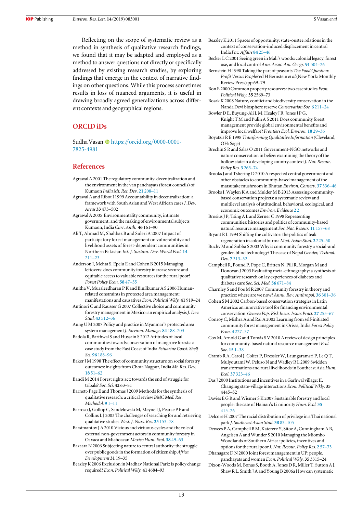Reflecting on the scope of systematic review as a method in synthesis of qualitative research findings, we found that it may be adapted and employed as a method to answer questions not directly or specifically addressed by existing research studies, by exploring findings that emerge in the context of narrative findings on other questions. While this process sometimes results in loss of nuanced arguments, it is useful in drawing broadly agreed generalizations across different contexts and geographical regions.

## ORCID iDs

Sudha Vasan <sup>to</sup> https://orcid.org/0000-0001-7825-4981

### References

- Agrawal A 2001 The regulatory community: decentralization and the environment in the van panchayats(forest councils) of Kumaon *India Mt. Res. Dev.* 21 208–11
- Agrawal A and Ribot J 1999 Accountability in decentralization: a framework with South Asian and West African cases*J. Dev. Areas* 33 473–502
- Agrawal A 2005 Environmentality community, intimate government, and the making of environmental subjects Kumaon, India *Curr. Anth.* 46 161–90
- Ali T, Ahmad M, Shahbaz B and Suleri A 2007 Impact of participatory forest management on vulnerability and livelihood assets of forest-dependent communities in Northern Pakistan *Int. J. Sustain. Dev. World Ecol.* 14 211–23
- Anderson J, Mehta S, Epelu E and Cohen B 2015 Managing leftovers: does community forestry increase secure and equitable access to valuable resources for the rural poor? *Forest Policy Econ.* 58 47–55
- Anitha V, Muraleedharan P K and Binilkumar A S 2006 Humanrelated constraints in protected area management: manifestations and causatives *Econ. Political Wkly.* 41 919–24
- Antinori C and Rausser G 2007 Collective choice and community forestry management in Mexico: an empirical analysis*J. Dev. Stud.* 43 512–36
- Aung U M 2007 Policy and practice in Myanmar's protected area system management *J. Environ. Manage.* 84 188–203
- Badola R, Barthwal S and Hussain S 2012 Attitudes of local communities towards conservation of mangrove forests: a case study from the East Coast of India *Estuarine Coast. Shelf Sci.* 96 188–96
- Baker J M 1998 The effect of community structure on social forestry outcomes: insights from Chota Nagpur, India *Mt. Res. Dev.* 18 51–62
- Bandi M 2014 Forest rights act: towards the end of struggle for tribals? *Soc. Sci.* 42 63–81
- Barnett-Page E and Thomas J 2009 Methods for the synthesis of qualitative research: a critical review*BMC Med. Res. Methodol.* 9 1–11
- Barroso J, Gollop C, Sandelowski M, Meynell J, Pearce P F and Collins L J 2003 The challenges of searching for and retrieving qualitative studies *West. J. Nurs. Res.* 25 153–78
- Barsimantov J A 2010 Vicious and virtuous cycles and the role of external non-government actors in community forestry in Oaxaca and Michoacan *Mexico Hum. Ecol.* 38 49–63
- Bazaara N 2006 Subjecting nature to central authority: the struggle over public goods in the formation of citizenship *Africa Development* 31 19–35
- Beazley K 2006 Exclusion in Madhav National Park: is policy change required? *Econ. Political Wkly.* 41 4684–93
- Beazley K 2011 Spaces of opportunity: state-oustee relations in the context of conservation-induced displacement in central India *Pac. Affairs* 84 25–46
- Becker L C 2001 Seeing green in Mali's woods: colonial legacy, forest use, and local control *Ann. Assoc. Am. Geogr.* 91 504–26
- Bernstein H 1990 Taking the part of peasants *The Food Question: Pro*fi*t Versus People?* ed H Bernstein *et al*(New York: Monthly Review Press) pp 69–79
- Bon E 2000 Common property resources: two case studies *Econ. Political Wkly.* 35 2569–73
- Bosak K 2008 Nature, conflict and biodiversity conservation in the Nanda Devi biosphere reserve *Conservation Soc.* 6 211–24

Bowler D E, Buyung-Ali L M, Healey J R, Jones J P G, Knight T M and Pulin A S 2011 Does community forest management provide global environmental benefits and improve local welfare? *Frontiers Ecol. Environ.* 10 29–36

- Boyatzis R E 1998 *Transforming Qualitative Information* (Cleveland, OH: Sage)
- Brechin S R and Salas O 2011 Government-NGO networks and nature conservation in belize: examining the theory of the hollow state in a developing country context*J. Nat. Resour. Policy Res.* 3 263–74
- Brooks J and Tshering D 2010 A respected central government and other obstacles to community-based management of the matsutake mushroom in Bhutan *Environ. Conserv.* 37 336–46
- Brooks J, Waylen K A and Mulder M B 2013 Assessing communitybased conservation projects: a systematic review and multilevel analysis of attitudinal, behavioral, ecological, and economic outcomes *Environ. Evidence* 2 2
- Brosius J P, Tsing A L and Zerner C 1998 Representing communities: histories and politics of community-based natural resource management *Soc. Nat. Resour.* 11 157–68
- Bryant R L 1994 Shifting the cultivator: the politics of teak regeneration in colonial burma *Mod. Asian Stud.* 2 225–50
- Buchy M and Subba S 2003 Why is community forestry a social-and gender-blind technology? The case of Nepal*Gender, Technol. Dev.* 7 313–32
- Campbell R, Pound P, Pope C, Britten N, Pill R, Morgan M and Donovan J 2003 Evaluating meta-ethnography: a synthesis of qualitative research on lay experiences of diabetes and diabetes care *Soc. Sci. Med.* 56 671–84
- Charnley S and Poe M R 2007 Community forestry in theory and practice: where are we now? *Annu. Rev. Anthropol.* 36 301–36
- Cohen S M 2002 Carbon-based conservation strategies in Latin America: an innovative tool for financing environmental conservation *Geneva Pap. Risk Insur. Issues Pract.* 27 255–67
- Conroy C, Mishra A and Rai A 2002 Learning from self-initiated community forest management in Orissa, India *Forest Policy Econ.* 4 227–37
- Cox M, Arnold G and Tomás S V 2010 A review of design principles for community-based natural resource management *Ecol. Soc.* 15 1–38
- Cramb R A, Carol J, Colfer P, Dressler W, Laungaramsri P, Le Q T, Mulyoutami W, Peluso N and Wadley R L 2009 Swidden transformations and rural livelihoods in Southeast Asia *Hum. Ecol.* 37 323–46
- Das J 2000 Institutions and incentives in a Garhwal village: II. Changing state-village interactions *Econ. Political Wkly.* 35 4445–52
- Davies E G R and Wismer S K 2007 Sustainable forestry and local people: the case of Hainan's Li minority *Hum. Ecol.* 35 415–26
- Delcore H 2007 The racial distribution of privilege in a Thai national park *J. Southeast Asian Stud.* 38 83–105
- Dewees P A, Campbell B M, Katerere Y, Sitoe A, Cunningham A B, Angelsen A and Wunder S 2010 Managing the Miombo Woodlands of Southern Africa: policies, incentives and options for the rural poor*J. Nat. Resour. Policy Res.* 2 57–73

Dhanagare D N 2000 Joint forest management in UP: people, panchayats and women *Econ. Political Wkly.* 35 3315–24

Dixon-Woods M, Bonas S, Booth A, Jones D R, Miller T, Sutton A J, Shaw R L, Smith J A and Young B 2006a How can systematic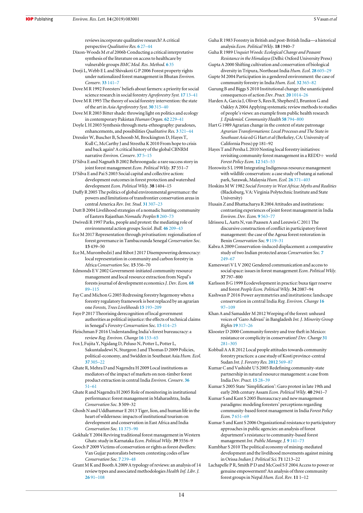reviews incorporate qualitative research? A critical perspective *Qualitative Res.* 6 27–44

- Dixon-Woods M *et al* 2006b Conducting a critical interpretative synthesis of the literature on access to healthcare by vulnerable groups *BMC Med. Res. Method.* 6 35
- Dorji L, Webb E L and Shivakoti G P 2006 Forest property rights under nationalized forest management in Bhutan *Environ. Conserv.* 33 141–7
- Dove M R 1992 Foresters' beliefs about farmers: a priority for social science research in social forestry *Agroforestry Syst.* 17 13–41
- Dove M R 1995 The theory of social forestry intervention: the state of the art in *Asia Agroforestry Syst.* 30 315–40
- Dove M R 2003 Bitter shade: throwing light on politics and ecology in contemporary Pakistan *Human Organ.* 62 229–41
- Doyle L H 2003 Synthesis through meta-ethnography: paradoxes, enhancements, and possibilities *Qualitative Res.* 3 321–44
- Dressler W, Buscher B, Schoonb M, Brockington D, Hayes T, Kull C, McCarthy J and Strestha K 2010 From hope to crisis and back again? A critical history of the global CBNRM narrative *Environ. Conserv.* 37 5–15
- D'Silva E and Nagnath B 2002 Behroonguda: a rare success story in joint forest management *Econ. Political Wkly.* 37 551–7
- D'Silva E and Pai S 2003 Social capital and collective action: development outcomes in forest protection and watershed development *Econ. Political Wkly.* 38 1404–15
- Duffy R 2005 The politics of global environmental governance: the powers and limitations of transfrontier conservation areas in central America *Rev. Int. Stud.* 31 307–23
- Dutt B 2004 Livelihood strategies of a nomadic hunting community of Eastern Rajasthan *Nomadic Peoples* 8 260–73
- Dwivedi R 1997 Parks, people and protest: the mediating role of environmental action groups *Sociol. Bull.* 46 209–43
- Ece M 2017 Representation through privatisation: regionalisation of forest governance in Tambacounda Senegal *Conservation Soc.* 15 439–50
- Ece M, Murombedzi J and Ribot J 2017 Disempowering democracy: local representation in community and carbon forestry in Africa *Conservation Soc.* 15 356–70
- Edmonds E V 2002 Government-initiated community resource management and local resource extraction from Nepal's forests journal of development economics*J. Dev. Econ.* 68 89–115
- Fay C and Michon G 2005 Redressing forestry hegemony when a forestry regulatory framework is best replaced by an agrarian one *Forests, Trees Livelihoods* 15 193–209
- Faye P 2017 Theorising derecognition of local government authorities as political injustice: the effects of technical claims in Senegal's *Forestry Conservation Soc.* 15 414–25
- Fleischman F 2016 Understanding India's forest bureaucracy: a review*Reg. Environ. Change* 16 153–65
- Fox J, Fujita Y, Ngidang D, Peluso N, Potter L, Potter L, Sakuntaladewi N, Sturgeon J and Thomas D 2009 Policies, political-economy, and Swidden in Southeast Asia *Hum. Ecol.* 37 305–22
- Ghate R, Mehra D and Nagendra H 2009 Local institutions as mediators of the impact of markets on non-timber forest product extraction in central India *Environ. Conserv.* 36 51–61
- Ghate R and Nagendra H 2005 Role of monitoring in institutional performance: forest management in Maharashtra, India *Conservation Soc.* 3 509–32
- Ghosh N and Uddhammar E 2013 Tiger, lion, and human life in the heart of wilderness: impacts of institutional tourism on development and conservation in East Africa and India *Conservation Soc.* 11 375–90
- Gokhale Y 2004 Reviving traditional forest management in Western Ghats: study in Karnataka *Econ. Political Wkly.* 39 3556–9
- Gooch P 2009 Victims of conservation or rights as forest dwellers: Van Gujjar pastoralists between contesting codes of law *Conservation Soc.* 7 239–48
- Grant M K and Booth A 2009 A typology of reviews: an analysis of 14 review types and associated methodologies *Health Inf. Libr. J.* 26 91–108
- Guha R 1983 Forestry in British and post-British India—a historical analysis *Econ. Political Wkly.* 18 1940–7
- Guha R 1989 *Unquiet Woods: Ecological Change and Peasant Resistance in the Himalaya* (Delhi: Oxford University Press)
- Gupta A 2000 Shifting cultivation and conservation of biological diversity in Tripura, Northeast India *Hum. Ecol.* 28 605–29
- Gupte M 2004 Participation in a gendered environment: the case of community forestry in India *Hum. Ecol.* 32 365–82
- Gurung B and Biggs S 2010 Institutional change: the unanticipated consequences of action *Dev. Pract.* 20 1014–26
- Harden A, Garcia J, Oliver S, Rees R, Shepherd J, Brunton G and Oakley A 2004 Applying systematic review methods to studies of people's views: an example from public health research *J. Epidemiol. Community Health* 58 794–800
- Hart G 1989 Agrarian change in the context of state patronage *Agrarian Transformations: Local Processes and The State in Southeast Asia* ed G Hart*et al*(Berkeley, CA: University of California Press) pp 181–92
- Hayes T and Persha L 2010 Nesting local forestry initiatives: revisiting community forest management in a REDD+ world *Forest Policy Econ.* 12 545–53
- Horowitz S L 1998 Integrating Indigenous resource management with wildlife conservation: a case study of batang ai national park, Sarawak, Malaysia *Hum. Ecol.* 26 371–403
- Hoskins M W 1982 *Social Forestry in West Africa: Myths and Realities* (Blacksburg, VA: Virginia Polytechnic Institute and State University)
- Husain Z and Bhattacharya R 2004 Attitudes and institutions: contrasting experiences of joint forest management in India *Environ. Dev. Econ.* 9 563–77
- Idrissou L, Aarts N, van Paassen A and Leeuwis C 2011 The discursive construction of conflict in participatory forest management: the case of the Agoua forest restoration in Benin *Conservation Soc.* 9 119–31
- Kabra A 2009 Conservation-induced displacement: a comparative study of two Indian protected areas *Conservation Soc.* 7 249–67
- Kameswari V L V 2002 Gendered communication and access to social space: issues in forest management *Econ. Political Wkly.* 37 797–800
- Karlsson B G 1999 Ecodevelopment in practice: buxa tiger reserve and forest *People Econ. Political Wkly.* 34 2087–94
- Kashwan P 2016 Power asymmetries and institutions: landscape conservation in central India *Reg. Environ. Change* 16 97–109
- Khan A and Samadder M 2012 Weeping of the forest: unheard voices of 'Garo Adivasi' in Bangladesh *Int. J. Minority Group Rights* 19 317–26
- Klooster D 2000 Community forestry and tree theft in Mexico: resistance or complicity in conservation? *Dev. Change* 31 281–305
- Kobbail A A R 2012 Local people attitudes towards community forestry practices: a case study of Kosti province-central Sudan *Int. J. Forestry Res.* 2012 569–87
- Kumar C and Vashisht U S 2005 Redefining community-state partnership in natural resource management: a case from India *Dev. Pract.* 15 28–39
- Kumar S 2005 State 'Simplification': Garo protest in late 19th and early 20th century Assam *Econ. Political Wkly.* 40 2941–7
- Kumar S and Kant S 2005 Bureaucracy and new management paradigms: modeling foresters' perceptions regarding community-based forest management in India *Forest Policy Econ.* 7 651–69
- Kumar S and Kant S 2006 Organizational resistance to participatory approaches in public agencies: an analysis of forest department's resistance to community-based forest management *Int. Public Manage. J.* 9 141–73
- Kumbhar S 2010 The political economy of mining-mediated development and the livelihood movements against mining in Orissa *Indian J. Political Sci.* 71 1213–22
- Lachapelle P R, Smith P D and McCool S F 2004 Access to power or genuine empowerment? An analysis of three community forest groups in Nepal *Hum. Ecol. Rev.* 11 1–12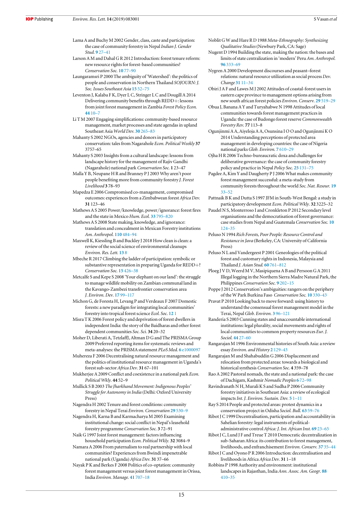- Lama A and Buchy M 2002 Gender, class, caste and participation: the case of community forestry in Nepal*Indian J. Gender Stud.* 9 27–41
- Larson A M and Dahal G R 2012 Introduction: forest tenure reform: new resource rights for forest-based communities? *Conservation Soc.* 10 77–90
- Laungaramsri P 2000 The ambiguity of 'Watershed': the politics of people and conservation in Northern Thailand *SOJOURN: J. Soc. Issues Southeast Asia* 15 52–75
- Leventon J, Kalaba F K, Dyer L C, Stringer L C and Dougill A 2014 Delivering community benefits through REDD+: lessons from joint forest management in Zambia *Forest Policy Econ.* 44 10–7
- Li T M 2007 Engaging simplifications: community-based resource management, market processes and state agendas in upland Southeast Asia *World Dev.* 30 265–83
- Mahanty S 2002 NGOs, agencies and donors in participatory conservation: tales from Nagarahole *Econ. Political Weekly* 37 3757–65
- Mahanty S 2003 Insights from a cultural landscape: lessons from landscape history for the management of Rajiv Gandhi (Nagarahole) national park *Conservation Soc.* 1 23–47
- Malla Y B, Neupane H R and Branney P J 2003 Why aren't poor people benefiting more from community forestry *J. Forest Livelihood* 3 78–93
- Mapedza E 2006 Compromised co-management, compromised outcomes: experiences from a Zimbabwean forest *Africa Dev.* 31 123–46
- Mathews A S 2005 Power/knowledge, power/ignorance: forest fires and the state in Mexico *Hum. Ecol.* 33 795–820
- Mathews A S 2008 State making, knowledge, and ignorance: translation and concealment in Mexican Forestry institutions *Am. Anthropol.* 110 484–94
- Maxwell K, Kiessling B and Buckley J 2018 How clean is clean: a review of the social science of environmental cleanups *Environ. Res. Lett.* 13 8
- Mbeche R 2017 Climbing the ladder of participation: symbolic or substantive representation in preparing Uganda for REDD+? *Conservation Soc.* 15 426–38
- Metcalfe S and Kepe S 2008 'Your elephant on our land': the struggle to manage wildlife mobility on Zambian communal land in the Kavango-Zambezi transfrontier conservation area *J. Environ. Dev.* 17 99–117
- Michon G, de Foresta H, Levang P and Verdeaux F 2007 Domestic forests: a new paradigm for integrating local communities' forestry into tropical forest science *Ecol. Soc.* 12 1
- Misra T K 2006 Forest policy and deprivation of forest dwellers in independent India: the story of the Baidharas and other forest dependent communities *Soc. Sci.* 34 20–32
- Moher D, Liberati A, TetzlaffJ, Altman D G and The PRISMA Group 2009 Preferred reporting items for systematic reviews and meta-analyses: the PRISMA statement *PLoS Med.* 6 e1000097
- Muhereza F 2006 Decentralising natural resource management and the politics of institutional resource management in Uganda's forest sub-sector *Africa Dev.* 31 67–101
- Mukherjee A 2009 Conflict and coexistence in a national park *Econ. Political Wkly.* 44 52–9
- Mullick S B 2003 *The Jharkhand Movement: Indigenous Peoples*' *Struggle for Autonomy in India* (Delhi: Oxford University Press)
- Nagendra H 2002 Tenure and forest conditions: community forestry in Nepal Terai *Environ. Conservation* 29 530–9
- Nagendra H, Karna B and Karmacharya M 2005 Examining institutional change: social conflict in Nepal's leasehold forestry programme *Conservation Soc.* 3 72–91
- Naik G 1997 Joint forest management: factors influencing household participation *Econ. Political Wkly.* 32 3084–9
- Namara A 2006 From paternalism to real partnership with local communities? Experiences from Bwindi impenetrable national park (Uganda) *Africa Dev.* 31 37–66
- Nayak P K and Berkes F 2008 Politics of co-optation: community forest management versus joint forest management in Orissa, India *Environ. Manage.* 41 707–18
- Noblit G W and Hare R D 1988 *Meta-Ethnography: Synthesizing Qualitative Studies* (Newbury Park, CA: Sage)
- Nugent D 1994 Building the state, making the nation: the bases and limits of state centralization in 'modern' Peru *Am. Anthropol.* 96 333–69
- Nygren A 2000 Development discourses and peasant–forest relations: natural resource utilization as social process *Dev. Change* 31 11–34
- Obiri J A F and Lawes M J 2002 Attitudes of coastal-forest users in eastern cape province to management options arising from new south african forest policies *Environ. Conserv.* 29 519–29
- Obua J, Banana A Y and Turyahabwe N 1998 Attitudes of local communities towards forest management practices in Uganda: the case of Budongo forest reserve *Commonwealth Forestry Rev.* 77 113–8
- Ogunjinmi A A, Aiyeloja A A, Osunsina I O O and Ogunjinmi K O 2014 Understanding perceptions of protected area management in developing countries: the case of Nigeria national parks*Glob. Environ.* 7 610–29
- Ojha H R 2006 Techno-bureaucratic doxa and challenges for deliberative governance: the case of community forestry policy and practice in Nepal *Policy Soc.* 25 131–75
- Pagdee A, Kim Y and Daugherty P J 2006 What makes community forest management successful: a meta-study from community forests throughout the world *Soc. Nat. Resour.* 19 33–52
- Pattnaik B K and Dutta S 1997 JFM in South-West Bengal: a study in participatory development *Econ. Political Wkly.* 32 3225–32
- Paudel N S, Monterroso I and Cronkleton P 2012 Secondary level organisations and the democratisation of forest governance: case studies from Nepal and Guatemala *Conservation Soc.* 10 124–35
- Peluso N 1994 *Rich Forests, Poor People: Resource Control and Resistance in Java* (Berkeley, CA: University of California Press)
- Peluso N L and Vandergeest P 2001 Geneologies of the political forest and customary rights in Indonesia, Malaysia and Thailand *J. Asian Stud.* 60 761–812
- Ploeg J V D, Weerd M V, Masipiquena A B and Persoon G A 2011 Illegal logging in the Northern Sierra Madre Natural Park, the Philippines *Conservation Soc.* 9 202–15
- Poppe J 2012 Conservation's ambiguities: rangers on the periphery of the W Park Burkina Faso *Conservation Soc.* 10 330–43
- Pravat P 2010 Looking back to move forward: using history to understand the consensual forest management model in the Terai, Nepal*Glob. Environ.* 3 96–121
- Randeria S 2003 Cunning states and unaccountable international institutions: legal plurality, social movements and rights of local communities to common property resources *Eur. J. Sociol.* 44 27–60
- Rangarajan M 1996 Environmental histories of South Asia: a review essay *Environ. and History* 2 129–43
- Rangarajan M and Shahabuddin G 2006 Displacement and relocation from protected areas: towards a biological and historical synthesis *Conservation Soc.* 4 359–78
- Rao A 2002 Pastoral nomads, the state and a national park: the case of Dachigam, Kashmir *Nomadic Peoples* 6 72–98
- Ravindranath N H, Murali K S and Sudha P 2006 Community forestry initiatives in Southeast Asia: a review of ecological impacts*Int. J. Environ. Sustain. Dev.* 5 1–11
- Ray S 2014 People and protected areas: protest dynamics in a conservation project in Odisha *Sociol. Bull.* 63 59–76
- Ribot J C 1999 Decentralisation, participation and accountability in Sahelian forestry: legal instruments of politicaladministrative control *Africa: J. Int. African Inst.* 69 23–65
- Ribot J C, Lund J F and Treue T 2010 Democratic decentralization in sub-Saharan Africa: its contribution to forest management, livelihoods, and enfranchisement *Environ. Conserv.* 37 35–44
- Ribot J C and Oyono P R 2006 Introduction: decentralisation and livelihoods in Africa *Africa Dev.* 31 1–18
- Robbins P 1998 Authority and environment: institutional landscapes in Rajasthan, India *Ann. Assoc. Am. Geogr.* 88 410–35